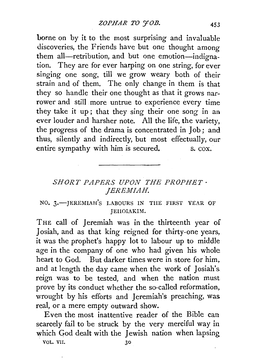borne on by it to the most surprising and invaluable discoveries, the Friends have but one thought among them all-retribution, and but one emotion-indignation. They are for ever harping on one string, for ever singing one song, till we grow weary both of their strain and of them. The only change in them is that they so handle their one thought as that it grows narrower and still more untrue to experience every time they take it up ; that they sing their one song in an ever louder and harsher note. All the life, the variety, the progress of the drama is concentrated in Job ; and thus, silently and indirectly, but most effectually, our entire sympathy with him is secured. S. COX.

## *SHORT PAPERS UPON THE PROPHET· JEREMIAH.*

## NO. 3.- JEREMIAH'S LABOURS IN THE FIRST YEAR OF JEHOIAKIM.

THE call of Jeremiah was in the thirteenth year of Josiah, and as that king reigned for thirty-one years, it was the prophet's happy lot to labour up to middle age in the company of one who had given his whole heart to God. But darker times were in store for him, and at length the day came when the work of Josiah's. reign was to be tested, and when the nation must prove by its conduct whether the so-called reformation, wrought by his efforts and Jeremiah's preaching, was real, or a mere empty outward show.

Even the most inattentive reader of the Bible can scarcely fail to be struck by the very merciful way in which God dealt with the Jewish nation when lapsing VOL. VII.  $30$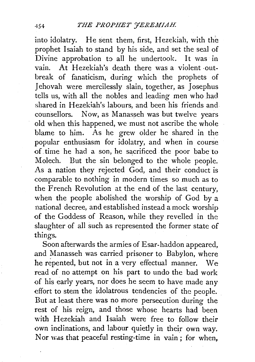into idolatry. He sent them, first, Hezekiah, with the prophet Isaiah to stand by his side, and set the seal of Divine approbation to all he undertook. It was in vain. At Hezekiah's death there was a violent -outbreak of fanaticism, during which the prophets of Jehovah were mercilessly slain, together, as Josephus tells us, with all the nobles and leading men who had shared in Hezekiah's labours, and been his friends and counsellors. Now, as Manasseh was but twelve years old when this happened, we must not ascribe the whole blame to him. As he grew older he shared in the popular enthusiasm for idolatry, and when in course of time he had a son, he sacrificed the poor babe to Molech. But the sin belonged to the whole people. As a nation they rejected God, and their conduct is comparable to nothing in modern times so much as to the French Revolution at the end of the last century, when the people abolished the worship of God by a national decree, and established instead a mock worship of the Goddess of Reason, while they revelled in the slaughter of all such as represented the former state of things.

Soon afterwards the armies of Esar-haddon appeared, and Manasseh was carried prisoner to Babylon, where he repented, but not in a very effectual manner. we read of no attempt on his part to undo the bad work of his early years, nor does he seem to have made any effort to stem the idolatrous tendencies of the people. But at least there was no more persecution during the rest of his reign, and those whose hearts had been with Hezekiah and Isaiah were free to follow their own inclinations, and labour quietly in their own way. Nor was that peaceful resting-time in vain ; for when,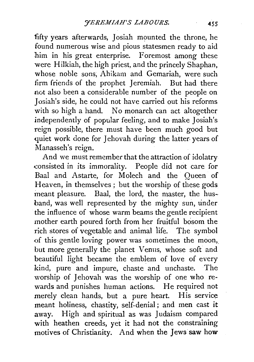fifty years afterwards, Josiah mounted the throne, he found numerous wise and pious statesmen ready to aid him in his great enterprise. Foremost among these were Hilkiah, the high priest, and the princely Shaphan, whose noble sons, Ahikam and Gemariah, were such firm friends of the prophet Jeremiah. But had there not also been a considerable number of the people on Josiah's side, he could not have carried out his reforms with so high a hand. No monarch can act altogether independently of popular feeling, and to make Josiah's reign possible, there must have been much good but quiet work done for Jehovah during the latter years of Manasseh's reign.

And we must remember that the attraction of idolatry .consisted in its immorality. People did not care for Baal and Astarte, for Molech and the Oueen of Heaven, in themselves ; but the worship of these gods meant pleasure. Baal, the lord, the master, the husband, was well represented by the mighty sun, under the influence of whose warm beams the gentle recipient mother earth poured forth from her fruitful bosom the rich stores of vegetable and animal life. The symbol of this gentle loving power was sometimes the moon,. but more generally the planet Venus, whose soft and beautiful light became the emblem of love of every kind, pure and impure, chaste and unchaste. The worship of Jehovah was the worship of one who rewards and punishes human actions. He required not merely clean hands, but a pure heart. His service meant holiness, chastity, self-denial ; and men cast it away. High and spiritual as was Judaism compared with heathen creeds, yet it had not the constraining motives of Christianity. And when the Jews saw how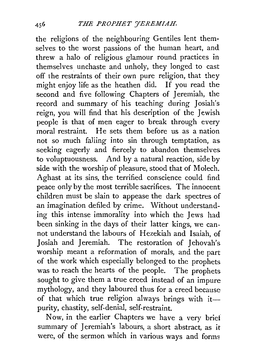the religions of the neighbouring Gentiles lent themselves to the worst passions of the human heart, and threw a halo of religious glamour round practices in themselves unchaste and unholy, they longed to cast off the restraints of their own pure religion, that they might enjoy life as the heathen did. If you read the second and five following Chapters of Jeremiah, the record and summary of his teaching during Josiah's reign, you will find that his description of the Jewish people is that of men eager to break through every moral restraint. He sets them before us as a nation not so much falling into sin through temptation, as. seeking eagerly and fiercely to abandon themselves. to voluptuousness. And by a natural reaction, side by side with the worship of pleasure, stood that of Molech. Aghast at its sins, the terrified conscience could find peace only by the most terrible sacrifices. The innocent children must be slain to appease the dark spectres of an imagination defiled by crime. Without understanding this intense immorality into which the Jews had been sinking in the days of their latter kings, we cannot understand the labours of Hezekiah and Isaiah, of Josiah and Jeremiah. The restoration of Jehovah's worship meant a reformation of morals, and the part of the work which especially belonged to the prophets was to reach the hearts of the people. The prophets sought to give them a true creed instead of an impure mythology, and they laboured thus for a creed because of that which true religion always brings with itpurity, chastity, self-denial, self-restraint.

Now, in the earlier Chapters we have a very brief summary of Jeremiah's labours, a short abstract, as it were, of the sermon which in various ways and forms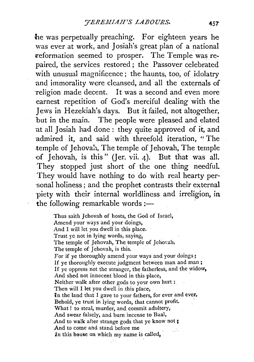he was perpetually preaching. For eighteen years he was ever at work, and Josiah's great plan of a national reformation seemed to prosper. The Temple was repaired, the services restored ; the Passover celebrated with unusual magnificence; the haunts, too, of idolatry and immorality were cleansed, and all the externals of religion made decent. It was a second and even more earnest repetition of God's merciful dealing with the 1 ews in Hezekiah's days. But it failed, not altogether, but in the main. The people were pleased and elated at all *1* osiah had done : they quite approved of it, and admired it, and said with threefold iteration, " The temple of 1ehovah, The temple of 1ehovah, The temple of Jehovah, is this" (Jer. vii. 4). But that was all. They stopped just short of the one thing needful. They would have nothing to do with real hearty per- ·sonal holiness ; and the prophet contrasts their external -piety with their internal worldliness and irreligion, in the following remarkable words : $-$ 

> Thus saith Jehovah of hosts, the God of Israel, Amend your ways and your doings, And I will let you dwell in this place. Trust ye not in lying words, saying, The temple of Jehovah, The temple of Jehovah, The temple of Jehovah, is this. For if ye thoroughly amend your ways and your doings; If ye thoroughly execute judgment between man and man; If ye oppress not the stranger, the fatherless, and the widow, And shed not innocent blood in this place, Neither walk after other gods to your own hurt : Then will I let you dwell in this place, 1n the land that I gave to your fathers, for ever and ever. Behold, ye trust in lying words, that cannot profit. What ! to steal, murder, and commit adultery, And swear falsely, and burn incense to Baal, And to walk after strange gods that ye know not ; And to come and stand before me In this house on which my name is called,

> > $13.1$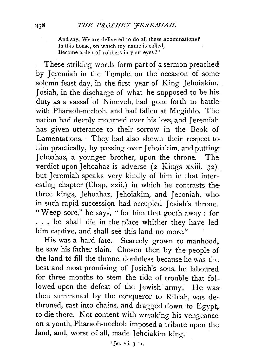And say, We are delivered to do all these abominations? Is this house, on which my name is called, Become a den of robbers in your eves? $<sup>1</sup>$ </sup>

These striking words form part of a sermon preached by Jeremiah in the Temple, on the occasion of some solemn feast day, in the first year of King Jehoiakim. Josiah, in the discharge of what he supposed to be his duty as a vassal of Nineveh, had gone forth to battle with Pharaoh-nechoh, and had fallen at Megiddo. The nation had deeply mourned over his loss, and Jeremiah has given utterance to their sorrow in the Book of Lamentations. They had also shewn their respect to him practically, by passing over Jehoiakim, and putting Jehoahaz, a younger brother, upon the throne. The verdict upon Jehoahaz is adverse (2 Kings xxiii. 32), but Jeremiah speaks very kindly of him in that interesting chapter (Chap. xxii.) in which he contrasts the three kings, Jehoahaz, Jehoiakim, and Jeconiah, who in such rapid succession had occupied Josiah's throne. "Weep sore," he says, "for him that goeth away : for , .. he shall die in the place whither they have led him captive, and shall see this land no more."

His was a hard fate. Scarcely grown to manhood. he saw his father slain. Chosen then by the people of the land to fill the throne, doubtless because he was the best and most promising of Josiah's sons, he laboured for three months to stem the tide of trouble that followed upon the defeat of the Jewish army. He was then summoned by the conqueror to Riblah, was dethroned, cast into chains, and dragged down to Egypt, to die there. Not content with wreaking his vengeance on a youth, Pharaoh-nechoh imposed a tribute upon the land, and, worst of all, made Jehoiakim king.

r Jer. vii. 3-11.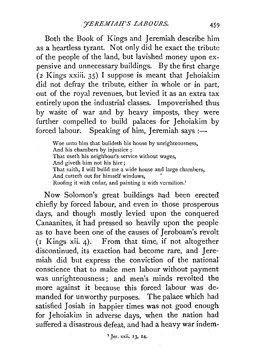Both the Book of Kings and Jeremiah describe him as a heartless tyrant. Not only did he exact the tribute of the people of the land, but lavished money upon expensive and unnecessary buildings. By the first charge (2 Kings xxiii. 35) I suppose is meant that Jehoiakim did not defray the tribute, either in whole or in part, out of the royal revenues, but levied it as an extra tax entirely upon the industrial classes. Impoverished thus by waste of war and by heavy imposts, they were further compelled to build palaces for Jehoiakim by forced labour. Speaking of him, Jeremiah says :-

\Voe unto him that buildeth his house by unrighteousness, And his chambers by injustice ; That useth his neighbour's service without wages, And giveth him not his hire; That saith, I will build me a wide house and large chambers, And cutteth out for himself windows, ' Roofing it with cedar, and painting it with vermilion.<sup>1</sup>

Now Solomon's great buildings had been erected chiefly by forced labour, and even in· those prosperous days, and though mostly levied upon the conquered Canaanites, it had pressed so heavily upon the people as to have been one of the causes of Jeroboam's revolt (1 Kings xii. 4). From that time, if not altogether discontinued, its exaction had become rare, and Jeremiah did but express the conviction of the national conscience that to make men labour without payment was unrighteousness ; and men's minds revolted the more against it because this forced labour was demanded for unworthy purposes. The palace which had satisfied Josiah in happier times was not good enough for Jehoiakim in adverse days, when the nation had suffered a disastrous defeat, and had a heavy war indem-

"Jer. xxii. 13, 14.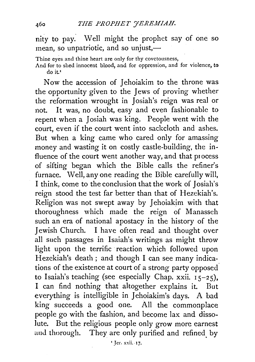nity to pay. Well might the prophet say of one so mean, so unpatriotic, and so unjust, $-$ 

Thine eyes and thine heart are only for thy covetousness,

And for to shed innocent blood, and for oppression, and for violence, to do it.<sup>\*</sup>

Now the accession of Jehoiakim to the throne was the opportunity given to the Jews of proving whether the reformation wrought in Josiah's reign was real or not. It was, no doubt, easy and even fashionable to repent when a Josiah was king. People went with the court, even if the court went into sackcloth and ashes. But when a king came who cared only for amassing money and wasting it on costly castle-building, the influence of the court went another way, and that process of sifting began which the Bible calls the refiner's furnace. Well, any one reading the Bible carefully will, I think, come to the conclusion that the work of Josiah's reign stood the test far better than that of Hezekiah's. Religion was not swept away by Jehoiakim with that thoroughness which made the reign of Manasseh such an era of national apostacy in the history of the Jewish Church. I have often read and thought over all such passages in Isaiah's writings as might throw light upon the terrific reaction which followed upon Hezekiah's death; and though I can see many indications of the existence at court of a strong party opposed to Isaiah's teaching (see especially Chap. xxii.  $15-25$ ), I can find nothing that altogether explains it. But everything is intelligible in Jehoiakim's days. A bad king succeeds a good one. All the commonplace people go with the fashion, and become lax and dissolute. But the religious people only grow more earnest aud thorough. They are only purified and refined. by

460

'Jer. xxii. ·17.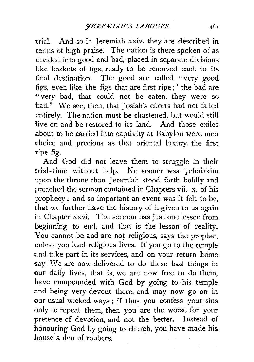trial. And so in Jeremiah xxiv. they are described in terms of high praise. The nation is there spoken of as divided into good and bad, placed in separate divisions like baskets of figs, ready to be removed each to its final destination. The good are called "very good figs, even like the figs that are first ripe;" the bad are *4 '* very bad, that could not be eaten, they were so bad." We see, then, that Josiah's efforts had not failed ·entirely. The nation must be chastened, but would still Jive on and be restored to its land. And those exiles about to be carried into captivity at Babylon were men choice and precious as that oriental luxury, the first ripe fig.

And God did not leave them to struggle in their trial-time without help. No sooner was Jehoiakim upon the throne than Jeremiah stood forth boldly and preached the sermon contained in Chapters vii.-x. of his prophecy ; and so important an event was it felt to be, that we further have the history of it given to us again in Chapter xxvi. The sermon has just one lesson from beginning to end, and that is the lesson of reality. You cannot be and are not religious, says the prophet, unless you lead religious lives. If you go to the temple and take part in its services, and on your. return home say, We are now delivered to do these bad things in our daily lives, that is, we are now free to do them, have compounded with God by going to· his temple and being very devout there, and may now go on in our usual wicked ways ; if thus you confess your sins only to repeat them, then you are the worse for your pretence of devotion, and not the better. Instead of honouring God by going to church, you have made his house a den of robbers.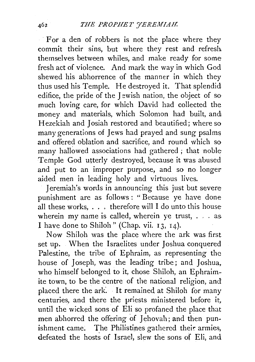For a den of robbers is not the place where they commit their sins, but where they rest and refresh themselves between whiles, and make ready for some fresh act of violence. And mark the way in which God shewed his abhorrence of the manner in which they thus used his Temple. He destroyed it. That splendid edifice, the pride of the Jewish nation, the object of so· much loving care, for which David had collected the money and materials, which Solomon had built, and: Hezekiah and Josiah restored and beautified; where so many generations of Jews had prayed and sung psalms and offered oblation and sacrifice, and round which so many hallowed associations had gathered ; that noble Temple God utterly destroyed, because it was abused and put to an improper purpose, and so no longer aided men in leading holy and virtuous lives.

Jeremiah's words in announcing this just but severe punishment are as follows : " Because ye have done all these works,  $\ldots$ , therefore will I do unto this house wherein my name is called, wherein ye trust,  $\ldots$  as. I have done to Shiloh" (Chap. vii. 13, 14).

Now Shiloh was the place where the ark was first set up. When the Israelites under Joshua conquered Palestine, the tribe of Ephraim, as representing the house of Joseph, was the leading tribe; and Joshua, who himself belonged to it, chose Shiloh, an Ephraimite town, to be the centre of the national religion, and placed there the ark. It remained at Shiloh for many centuries, and there the priests ministered before it, until the wicked sons of Eli so profaned the place that men abhorred the offering of Jehovah; and then punishment came. The Philistines gathered their armies, defeated the hosts of Israel, slew the sons of Eli, and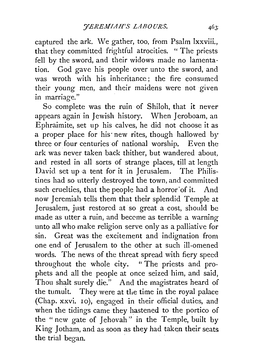captured the ark. We gather, too, from Psalm lxxviii., that they committed frightful atrocities. " The priests fell by the sword, and their widows made no lamentation. God gave his people over unto the sword, and was wroth with his inheritance; the fire consumed their young men, and their maidens were not given in marriage."

So complete was the ruin of Shiloh, that it never appears again in Jewish history. When Jeroboam, an Ephraimite, set up his calves, he did not choose it as a proper place for his new rites, though hallowed by three or four centuries of national worship. Even the ark was never taken back thither, but wandered about, and rested in all sorts of strange places, till at length David set up a tent for it in Jerusalem. The Philistines had so utterly destroyed the town, and committed such cruelties, that the people had a horror of it. And now Jeremiah tells them that their splendid Temple at Jerusalem, just restored at so great a cost, should be made as utter a ruin, and beccme as terrible a warning unto all who make religion serve only as a palliative for sin. Great was the excitement and indignation from one end of Jerusalem to the other at such ill-omened words. The news of the threat spread with fiery speed throughout the whole city. " The priests and prophets and all the people at once seized him, and said, Thou shalt surely die." And the magistrates heard of the tumult. They were at the time in the royal palace (Chap. xxvi. 10), engaged in their official duties, and when the tidings came they hastened to the portico of the "new gate of Jehovah" in the Temple, built by King Jotham, and as soon as they had taken their seats the trial began.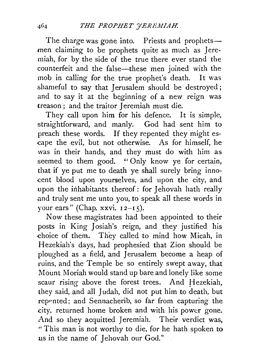The charge was gone into. Priests and prophetsmen claiming to be prophets quite as much as Jeremiah, for by the side of the true there ever stand the counterfeit and the false-these men joined with the mob in calling for the true prophet's death. It was shameful to say that Jerusalem should be destroyed ; and to say it at the beginning of a new reign was treason ; and the traitor Jeremiah must die.

They call upon him for his defence. It is simple, straightforward, and manly. God had sent him to preach these words. If they repented they might es cape the evil, but not otherwise. As for himself, he was in their hands, and they must do with him as seemed to them good. '' Only know ye for certain, that if ye put me to death ye shall surely bring inno- -cent blood upon yourselves, and upon the city, and upon the inhabitants thereof: for Jehovah hath really and truly sent me unto you, to speak all these words in your ears" (Chap. xxvi.  $12-I5$ ).

Now these magistrates had been appointed to their posts in King Josiah's reign, and they justified his choice of them. They called to mind how Micah, in Hezekiah's days, had prophesied that Zion should be ploughed as a field, and Jerusalem become a heap of ruins, and the Temple be so entirely swept away, that Mount Moriah would stand up bare and lonely like some scaur rising above the forest trees. And Hezekiah, they said, and all Judah, did not put him to death, but repented; and Sennacherib, so far from capturing the city. returned home broken and with his power gone. And so they acquitted Jeremiah. Their verdict was, "This man is not worthy to die, for he hath spoken to us in the name of Jehovah our God."